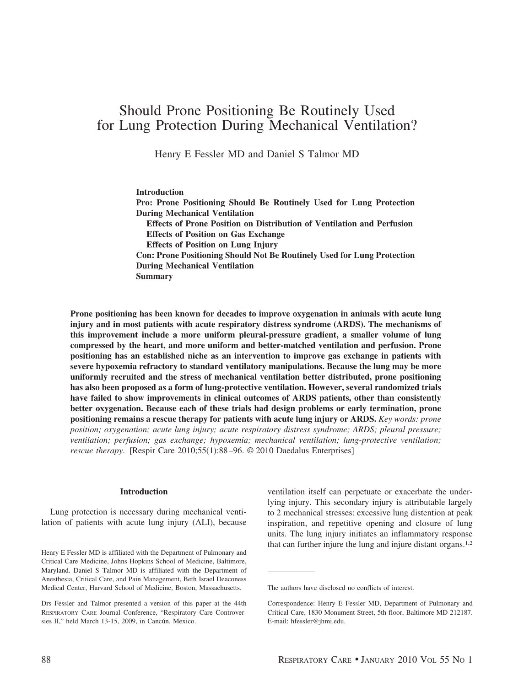# Should Prone Positioning Be Routinely Used for Lung Protection During Mechanical Ventilation?

Henry E Fessler MD and Daniel S Talmor MD

#### **Introduction**

**Pro: Prone Positioning Should Be Routinely Used for Lung Protection During Mechanical Ventilation**

**Effects of Prone Position on Distribution of Ventilation and Perfusion Effects of Position on Gas Exchange**

**Effects of Position on Lung Injury**

**Con: Prone Positioning Should Not Be Routinely Used for Lung Protection During Mechanical Ventilation Summary**

**Prone positioning has been known for decades to improve oxygenation in animals with acute lung injury and in most patients with acute respiratory distress syndrome (ARDS). The mechanisms of this improvement include a more uniform pleural-pressure gradient, a smaller volume of lung compressed by the heart, and more uniform and better-matched ventilation and perfusion. Prone positioning has an established niche as an intervention to improve gas exchange in patients with severe hypoxemia refractory to standard ventilatory manipulations. Because the lung may be more uniformly recruited and the stress of mechanical ventilation better distributed, prone positioning has also been proposed as a form of lung-protective ventilation. However, several randomized trials have failed to show improvements in clinical outcomes of ARDS patients, other than consistently better oxygenation. Because each of these trials had design problems or early termination, prone positioning remains a rescue therapy for patients with acute lung injury or ARDS.** *Key words: prone position; oxygenation; acute lung injury; acute respiratory distress syndrome; ARDS; pleural pressure; ventilation; perfusion; gas exchange; hypoxemia; mechanical ventilation; lung-protective ventilation; rescue therapy*. [Respir Care 2010;55(1):88 –96. © 2010 Daedalus Enterprises]

## **Introduction**

Lung protection is necessary during mechanical ventilation of patients with acute lung injury (ALI), because

ventilation itself can perpetuate or exacerbate the underlying injury. This secondary injury is attributable largely to 2 mechanical stresses: excessive lung distention at peak inspiration, and repetitive opening and closure of lung units. The lung injury initiates an inflammatory response that can further injure the lung and injure distant organs.1,2

Henry E Fessler MD is affiliated with the Department of Pulmonary and Critical Care Medicine, Johns Hopkins School of Medicine, Baltimore, Maryland. Daniel S Talmor MD is affiliated with the Department of Anesthesia, Critical Care, and Pain Management, Beth Israel Deaconess Medical Center, Harvard School of Medicine, Boston, Massachusetts.

Drs Fessler and Talmor presented a version of this paper at the 44th RESPIRATORY CARE Journal Conference, "Respiratory Care Controversies II," held March 13-15, 2009, in Cancún, Mexico.

The authors have disclosed no conflicts of interest.

Correspondence: Henry E Fessler MD, Department of Pulmonary and Critical Care, 1830 Monument Street, 5th floor, Baltimore MD 212187. E-mail: hfessler@jhmi.edu.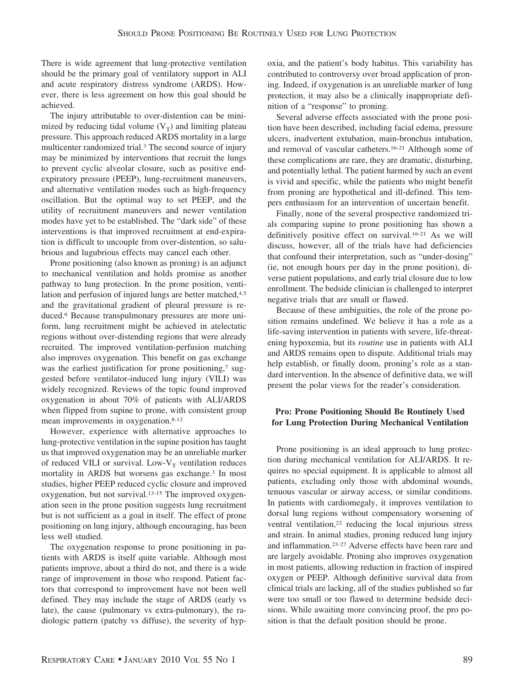There is wide agreement that lung-protective ventilation should be the primary goal of ventilatory support in ALI and acute respiratory distress syndrome (ARDS). However, there is less agreement on how this goal should be achieved.

The injury attributable to over-distention can be minimized by reducing tidal volume  $(V_T)$  and limiting plateau pressure. This approach reduced ARDS mortality in a large multicenter randomized trial.3 The second source of injury may be minimized by interventions that recruit the lungs to prevent cyclic alveolar closure, such as positive endexpiratory pressure (PEEP), lung-recruitment maneuvers, and alternative ventilation modes such as high-frequency oscillation. But the optimal way to set PEEP, and the utility of recruitment maneuvers and newer ventilation modes have yet to be established. The "dark side" of these interventions is that improved recruitment at end-expiration is difficult to uncouple from over-distention, so salubrious and lugubrious effects may cancel each other.

Prone positioning (also known as proning) is an adjunct to mechanical ventilation and holds promise as another pathway to lung protection. In the prone position, ventilation and perfusion of injured lungs are better matched,<sup>4,5</sup> and the gravitational gradient of pleural pressure is reduced.6 Because transpulmonary pressures are more uniform, lung recruitment might be achieved in atelectatic regions without over-distending regions that were already recruited. The improved ventilation-perfusion matching also improves oxygenation. This benefit on gas exchange was the earliest justification for prone positioning,<sup>7</sup> suggested before ventilator-induced lung injury (VILI) was widely recognized. Reviews of the topic found improved oxygenation in about 70% of patients with ALI/ARDS when flipped from supine to prone, with consistent group mean improvements in oxygenation.8-12

However, experience with alternative approaches to lung-protective ventilation in the supine position has taught us that improved oxygenation may be an unreliable marker of reduced VILI or survival. Low- $V_T$  ventilation reduces mortality in ARDS but worsens gas exchange.3 In most studies, higher PEEP reduced cyclic closure and improved oxygenation, but not survival.13-15 The improved oxygenation seen in the prone position suggests lung recruitment but is not sufficient as a goal in itself. The effect of prone positioning on lung injury, although encouraging, has been less well studied.

The oxygenation response to prone positioning in patients with ARDS is itself quite variable. Although most patients improve, about a third do not, and there is a wide range of improvement in those who respond. Patient factors that correspond to improvement have not been well defined. They may include the stage of ARDS (early vs late), the cause (pulmonary vs extra-pulmonary), the radiologic pattern (patchy vs diffuse), the severity of hypoxia, and the patient's body habitus. This variability has contributed to controversy over broad application of proning. Indeed, if oxygenation is an unreliable marker of lung protection, it may also be a clinically inappropriate definition of a "response" to proning.

Several adverse effects associated with the prone position have been described, including facial edema, pressure ulcers, inadvertent extubation, main-bronchus intubation, and removal of vascular catheters.16-21 Although some of these complications are rare, they are dramatic, disturbing, and potentially lethal. The patient harmed by such an event is vivid and specific, while the patients who might benefit from proning are hypothetical and ill-defined. This tempers enthusiasm for an intervention of uncertain benefit.

Finally, none of the several prospective randomized trials comparing supine to prone positioning has shown a definitively positive effect on survival.16-21 As we will discuss, however, all of the trials have had deficiencies that confound their interpretation, such as "under-dosing" (ie, not enough hours per day in the prone position), diverse patient populations, and early trial closure due to low enrollment. The bedside clinician is challenged to interpret negative trials that are small or flawed.

Because of these ambiguities, the role of the prone position remains undefined. We believe it has a role as a life-saving intervention in patients with severe, life-threatening hypoxemia, but its *routine* use in patients with ALI and ARDS remains open to dispute. Additional trials may help establish, or finally doom, proning's role as a standard intervention. In the absence of definitive data, we will present the polar views for the reader's consideration.

## **Pro: Prone Positioning Should Be Routinely Used for Lung Protection During Mechanical Ventilation**

Prone positioning is an ideal approach to lung protection during mechanical ventilation for ALI/ARDS. It requires no special equipment. It is applicable to almost all patients, excluding only those with abdominal wounds, tenuous vascular or airway access, or similar conditions. In patients with cardiomegaly, it improves ventilation to dorsal lung regions without compensatory worsening of ventral ventilation,22 reducing the local injurious stress and strain. In animal studies, proning reduced lung injury and inflammation.23-27 Adverse effects have been rare and are largely avoidable. Proning also improves oxygenation in most patients, allowing reduction in fraction of inspired oxygen or PEEP. Although definitive survival data from clinical trials are lacking, all of the studies published so far were too small or too flawed to determine bedside decisions. While awaiting more convincing proof, the pro position is that the default position should be prone.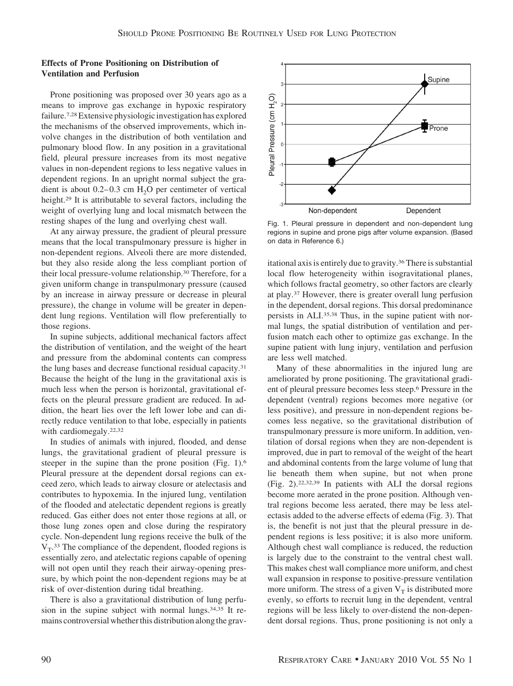## **Effects of Prone Positioning on Distribution of Ventilation and Perfusion**

Prone positioning was proposed over 30 years ago as a means to improve gas exchange in hypoxic respiratory failure.7,28Extensive physiologic investigation has explored the mechanisms of the observed improvements, which involve changes in the distribution of both ventilation and pulmonary blood flow. In any position in a gravitational field, pleural pressure increases from its most negative values in non-dependent regions to less negative values in dependent regions. In an upright normal subject the gradient is about  $0.2-0.3$  cm  $H<sub>2</sub>O$  per centimeter of vertical height.<sup>29</sup> It is attributable to several factors, including the weight of overlying lung and local mismatch between the resting shapes of the lung and overlying chest wall.

At any airway pressure, the gradient of pleural pressure means that the local transpulmonary pressure is higher in non-dependent regions. Alveoli there are more distended, but they also reside along the less compliant portion of their local pressure-volume relationship.30 Therefore, for a given uniform change in transpulmonary pressure (caused by an increase in airway pressure or decrease in pleural pressure), the change in volume will be greater in dependent lung regions. Ventilation will flow preferentially to those regions.

In supine subjects, additional mechanical factors affect the distribution of ventilation, and the weight of the heart and pressure from the abdominal contents can compress the lung bases and decrease functional residual capacity.<sup>31</sup> Because the height of the lung in the gravitational axis is much less when the person is horizontal, gravitational effects on the pleural pressure gradient are reduced. In addition, the heart lies over the left lower lobe and can directly reduce ventilation to that lobe, especially in patients with cardiomegaly.<sup>22,32</sup>

In studies of animals with injured, flooded, and dense lungs, the gravitational gradient of pleural pressure is steeper in the supine than the prone position (Fig. 1).6 Pleural pressure at the dependent dorsal regions can exceed zero, which leads to airway closure or atelectasis and contributes to hypoxemia. In the injured lung, ventilation of the flooded and atelectatic dependent regions is greatly reduced. Gas either does not enter those regions at all, or those lung zones open and close during the respiratory cycle. Non-dependent lung regions receive the bulk of the  $V_T$ .<sup>33</sup> The compliance of the dependent, flooded regions is essentially zero, and atelectatic regions capable of opening will not open until they reach their airway-opening pressure, by which point the non-dependent regions may be at risk of over-distention during tidal breathing.

There is also a gravitational distribution of lung perfusion in the supine subject with normal lungs.<sup>34,35</sup> It remains controversial whether this distribution along the grav-



Fig. 1. Pleural pressure in dependent and non-dependent lung regions in supine and prone pigs after volume expansion. (Based on data in Reference 6.)

itational axis is entirely due to gravity.36 There is substantial local flow heterogeneity within isogravitational planes, which follows fractal geometry, so other factors are clearly at play.37 However, there is greater overall lung perfusion in the dependent, dorsal regions. This dorsal predominance persists in ALI.35,38 Thus, in the supine patient with normal lungs, the spatial distribution of ventilation and perfusion match each other to optimize gas exchange. In the supine patient with lung injury, ventilation and perfusion are less well matched.

Many of these abnormalities in the injured lung are ameliorated by prone positioning. The gravitational gradient of pleural pressure becomes less steep.6 Pressure in the dependent (ventral) regions becomes more negative (or less positive), and pressure in non-dependent regions becomes less negative, so the gravitational distribution of transpulmonary pressure is more uniform. In addition, ventilation of dorsal regions when they are non-dependent is improved, due in part to removal of the weight of the heart and abdominal contents from the large volume of lung that lie beneath them when supine, but not when prone (Fig. 2).22,32,39 In patients with ALI the dorsal regions become more aerated in the prone position. Although ventral regions become less aerated, there may be less atelectasis added to the adverse effects of edema (Fig. 3). That is, the benefit is not just that the pleural pressure in dependent regions is less positive; it is also more uniform. Although chest wall compliance is reduced, the reduction is largely due to the constraint to the ventral chest wall. This makes chest wall compliance more uniform, and chest wall expansion in response to positive-pressure ventilation more uniform. The stress of a given  $V_T$  is distributed more evenly, so efforts to recruit lung in the dependent, ventral regions will be less likely to over-distend the non-dependent dorsal regions. Thus, prone positioning is not only a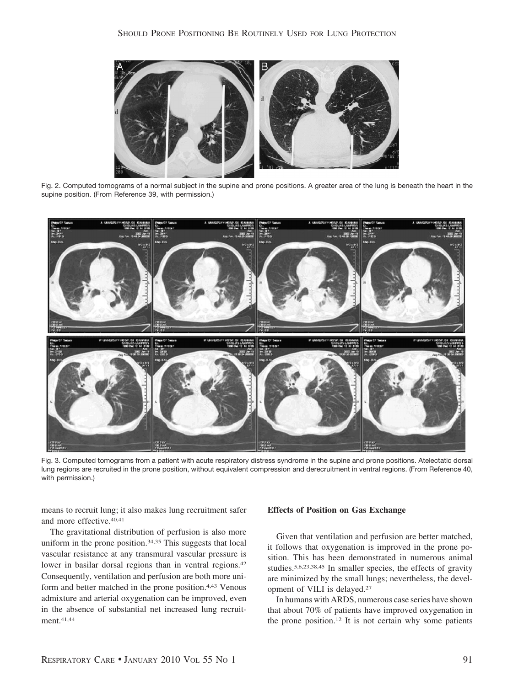

Fig. 2. Computed tomograms of a normal subject in the supine and prone positions. A greater area of the lung is beneath the heart in the supine position. (From Reference 39, with permission.)



Fig. 3. Computed tomograms from a patient with acute respiratory distress syndrome in the supine and prone positions. Atelectatic dorsal lung regions are recruited in the prone position, without equivalent compression and derecruitment in ventral regions. (From Reference 40, with permission.)

means to recruit lung; it also makes lung recruitment safer and more effective.40,41

The gravitational distribution of perfusion is also more uniform in the prone position.<sup>34,35</sup> This suggests that local vascular resistance at any transmural vascular pressure is lower in basilar dorsal regions than in ventral regions.<sup>42</sup> Consequently, ventilation and perfusion are both more uniform and better matched in the prone position.4,43 Venous admixture and arterial oxygenation can be improved, even in the absence of substantial net increased lung recruitment.41,44

#### **Effects of Position on Gas Exchange**

Given that ventilation and perfusion are better matched, it follows that oxygenation is improved in the prone position. This has been demonstrated in numerous animal studies.5,6,23,38,45 In smaller species, the effects of gravity are minimized by the small lungs; nevertheless, the development of VILI is delayed.27

In humans with ARDS, numerous case series have shown that about 70% of patients have improved oxygenation in the prone position.12 It is not certain why some patients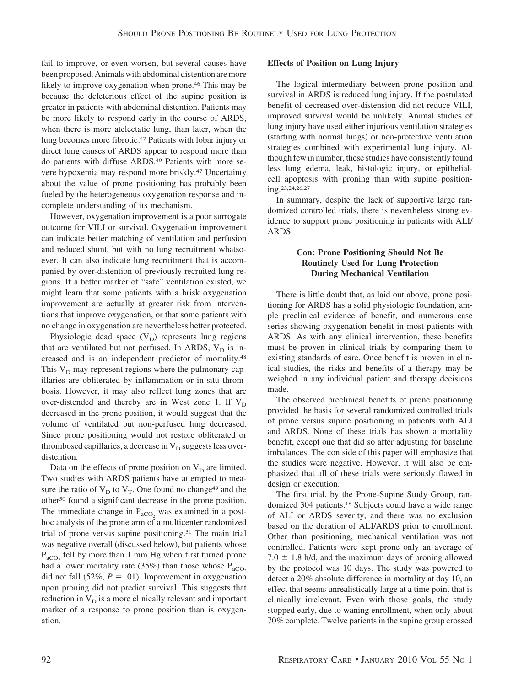fail to improve, or even worsen, but several causes have been proposed. Animals with abdominal distention are more likely to improve oxygenation when prone.46 This may be because the deleterious effect of the supine position is greater in patients with abdominal distention. Patients may be more likely to respond early in the course of ARDS, when there is more atelectatic lung, than later, when the lung becomes more fibrotic.47 Patients with lobar injury or direct lung causes of ARDS appear to respond more than do patients with diffuse ARDS.40 Patients with more severe hypoxemia may respond more briskly.47 Uncertainty about the value of prone positioning has probably been fueled by the heterogeneous oxygenation response and incomplete understanding of its mechanism.

However, oxygenation improvement is a poor surrogate outcome for VILI or survival. Oxygenation improvement can indicate better matching of ventilation and perfusion and reduced shunt, but with no lung recruitment whatsoever. It can also indicate lung recruitment that is accompanied by over-distention of previously recruited lung regions. If a better marker of "safe" ventilation existed, we might learn that some patients with a brisk oxygenation improvement are actually at greater risk from interventions that improve oxygenation, or that some patients with no change in oxygenation are nevertheless better protected.

Physiologic dead space  $(V_D)$  represents lung regions that are ventilated but not perfused. In ARDS,  $V_D$  is increased and is an independent predictor of mortality.48 This  $V_D$  may represent regions where the pulmonary capillaries are obliterated by inflammation or in-situ thrombosis. However, it may also reflect lung zones that are over-distended and thereby are in West zone 1. If  $V_D$ decreased in the prone position, it would suggest that the volume of ventilated but non-perfused lung decreased. Since prone positioning would not restore obliterated or thrombosed capillaries, a decrease in  $V_D$  suggests less overdistention.

Data on the effects of prone position on  $V_D$  are limited. Two studies with ARDS patients have attempted to measure the ratio of  $V_D$  to  $V_T$ . One found no change<sup>49</sup> and the other50 found a significant decrease in the prone position. The immediate change in  $P_{aCO_2}$  was examined in a posthoc analysis of the prone arm of a multicenter randomized trial of prone versus supine positioning.51 The main trial was negative overall (discussed below), but patients whose  $P_{\text{aCO}_2}$  fell by more than 1 mm Hg when first turned prone had a lower mortality rate (35%) than those whose  $P_{aCO_2}$ did not fall  $(52\%, P = .01)$ . Improvement in oxygenation upon proning did not predict survival. This suggests that reduction in  $V_D$  is a more clinically relevant and important marker of a response to prone position than is oxygenation.

#### **Effects of Position on Lung Injury**

The logical intermediary between prone position and survival in ARDS is reduced lung injury. If the postulated benefit of decreased over-distension did not reduce VILI, improved survival would be unlikely. Animal studies of lung injury have used either injurious ventilation strategies (starting with normal lungs) or non-protective ventilation strategies combined with experimental lung injury. Although few in number, these studies have consistently found less lung edema, leak, histologic injury, or epithelialcell apoptosis with proning than with supine positioning.23,24,26,27

In summary, despite the lack of supportive large randomized controlled trials, there is nevertheless strong evidence to support prone positioning in patients with ALI/ ARDS.

## **Con: Prone Positioning Should Not Be Routinely Used for Lung Protection During Mechanical Ventilation**

There is little doubt that, as laid out above, prone positioning for ARDS has a solid physiologic foundation, ample preclinical evidence of benefit, and numerous case series showing oxygenation benefit in most patients with ARDS. As with any clinical intervention, these benefits must be proven in clinical trials by comparing them to existing standards of care. Once benefit is proven in clinical studies, the risks and benefits of a therapy may be weighed in any individual patient and therapy decisions made.

The observed preclinical benefits of prone positioning provided the basis for several randomized controlled trials of prone versus supine positioning in patients with ALI and ARDS. None of these trials has shown a mortality benefit, except one that did so after adjusting for baseline imbalances. The con side of this paper will emphasize that the studies were negative. However, it will also be emphasized that all of these trials were seriously flawed in design or execution.

The first trial, by the Prone-Supine Study Group, randomized 304 patients.18 Subjects could have a wide range of ALI or ARDS severity, and there was no exclusion based on the duration of ALI/ARDS prior to enrollment. Other than positioning, mechanical ventilation was not controlled. Patients were kept prone only an average of  $7.0 \pm 1.8$  h/d, and the maximum days of proning allowed by the protocol was 10 days. The study was powered to detect a 20% absolute difference in mortality at day 10, an effect that seems unrealistically large at a time point that is clinically irrelevant. Even with those goals, the study stopped early, due to waning enrollment, when only about 70% complete. Twelve patients in the supine group crossed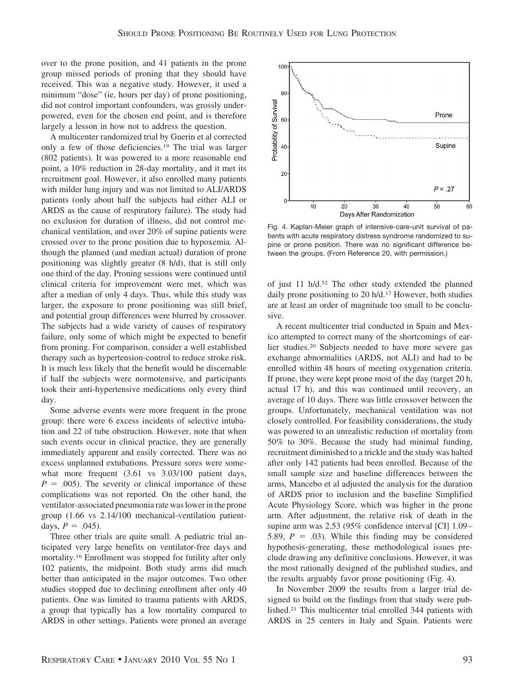over to the prone position, and 41 patients in the prone group missed periods of proning that they should have received. This was a negative study. However, it used a minimum "dose" (ie, hours per day) of prone positioning, did not control important confounders, was grossly underpowered, even for the chosen end point, and is therefore largely a lesson in how not to address the question.

A multicenter randomized trial by Guerin et al corrected only a few of those deficiencies.19 The trial was larger (802 patients). It was powered to a more reasonable end point, a 10% reduction in 28-day mortality, and it met its recruitment goal. However, it also enrolled many patients with milder lung injury and was not limited to ALI/ARDS patients (only about half the subjects had either ALI or ARDS as the cause of respiratory failure). The study had no exclusion for duration of illness, did not control mechanical ventilation, and over 20% of supine patients were crossed over to the prone position due to hypoxemia. Although the planned (and median actual) duration of prone positioning was slightly greater (8 h/d), that is still only one third of the day. Proning sessions were continued until clinical criteria for improvement were met, which was after a median of only 4 days. Thus, while this study was larger, the exposure to prone positioning was still brief, and potential group differences were blurred by crossover. The subjects had a wide variety of causes of respiratory failure, only some of which might be expected to benefit from proning. For comparison, consider a well established therapy such as hypertension-control to reduce stroke risk. It is much less likely that the benefit would be discernable if half the subjects were normotensive, and participants took their anti-hypertensive medications only every third day.

Some adverse events were more frequent in the prone group: there were 6 excess incidents of selective intubation and 22 of tube obstruction. However, note that when such events occur in clinical practice, they are generally immediately apparent and easily corrected. There was no excess unplanned extubations. Pressure sores were somewhat more frequent (3.61 vs 3.03/100 patient days,  $P = .005$ ). The severity or clinical importance of these complications was not reported. On the other hand, the ventilator-associated pneumonia rate was lower in the prone group (1.66 vs 2.14/100 mechanical-ventilation patientdays,  $P = .045$ ).

Three other trials are quite small. A pediatric trial anticipated very large benefits on ventilator-free days and mortality.16 Enrollment was stopped for futility after only 102 patients, the midpoint. Both study arms did much better than anticipated in the major outcomes. Two other studies stopped due to declining enrollment after only 40 patients. One was limited to trauma patients with ARDS, a group that typically has a low mortality compared to ARDS in other settings. Patients were proned an average



Fig. 4. Kaplan-Meier graph of intensive-care-unit survival of patients with acute respiratory distress syndrome randomized to supine or prone position. There was no significant difference between the groups. (From Reference 20, with permission.)

of just 11 h/d.52 The other study extended the planned daily prone positioning to 20 h/d.17 However, both studies are at least an order of magnitude too small to be conclusive.

A recent multicenter trial conducted in Spain and Mexico attempted to correct many of the shortcomings of earlier studies.20 Subjects needed to have more severe gas exchange abnormalities (ARDS, not ALI) and had to be enrolled within 48 hours of meeting oxygenation criteria. If prone, they were kept prone most of the day (target 20 h, actual 17 h), and this was continued until recovery, an average of 10 days. There was little crossover between the groups. Unfortunately, mechanical ventilation was not closely controlled. For feasibility considerations, the study was powered to an unrealistic reduction of mortality from 50% to 30%. Because the study had minimal funding, recruitment diminished to a trickle and the study was halted after only 142 patients had been enrolled. Because of the small sample size and baseline differences between the arms, Mancebo et al adjusted the analysis for the duration of ARDS prior to inclusion and the baseline Simplified Acute Physiology Score, which was higher in the prone arm. After adjustment, the relative risk of death in the supine arm was 2.53 (95% confidence interval [CI] 1.09 – 5.89,  $P = .03$ ). While this finding may be considered hypothesis-generating, these methodological issues preclude drawing any definitive conclusions. However, it was the most rationally designed of the published studies, and the results arguably favor prone positioning (Fig. 4).

In November 2009 the results from a larger trial designed to build on the findings from that study were published.21 This multicenter trial enrolled 344 patients with ARDS in 25 centers in Italy and Spain. Patients were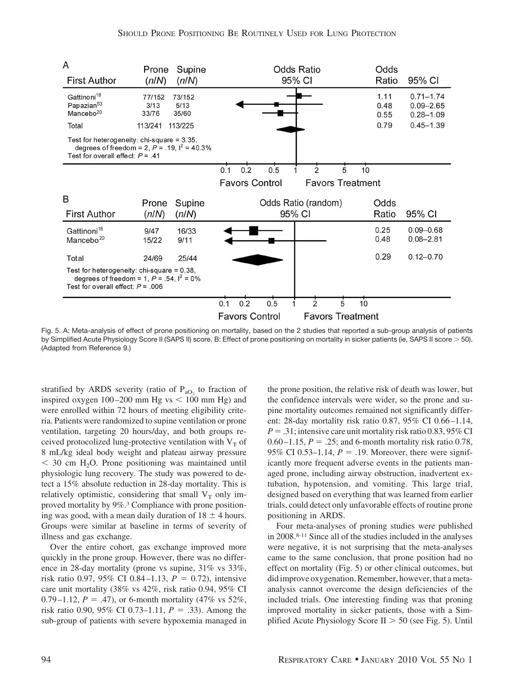

Fig. 5. A: Meta-analysis of effect of prone positioning on mortality, based on the 2 studies that reported a sub-group analysis of patients by Simplified Acute Physiology Score II (SAPS II) score. B: Effect of prone positioning on mortality in sicker patients (ie, SAPS II score > 50). (Adapted from Reference 9.)

stratified by ARDS severity (ratio of  $P_{aO_2}$  to fraction of inspired oxygen  $100 - 200$  mm Hg vs  $\lt$  100 mm Hg) and were enrolled within 72 hours of meeting eligibility criteria. Patients were randomized to supine ventilation or prone ventilation, targeting 20 hours/day, and both groups received protocolized lung-protective ventilation with  $V<sub>T</sub>$  of 8 mL/kg ideal body weight and plateau airway pressure  $<$  30 cm H<sub>2</sub>O. Prone positioning was maintained until physiologic lung recovery. The study was powered to detect a 15% absolute reduction in 28-day mortality. This is relatively optimistic, considering that small  $V_T$  only improved mortality by 9%.3 Compliance with prone positioning was good, with a mean daily duration of  $18 \pm 4$  hours. Groups were similar at baseline in terms of severity of illness and gas exchange.

Over the entire cohort, gas exchange improved more quickly in the prone group. However, there was no difference in 28-day mortality (prone vs supine, 31% vs 33%, risk ratio 0.97, 95% CI 0.84–1.13,  $P = 0.72$ ), intensive care unit mortality (38% vs 42%, risk ratio 0.94, 95% CI 0.79–1.12,  $P = .47$ ), or 6-month mortality (47% vs 52%, risk ratio 0.90, 95% CI 0.73–1.11,  $P = .33$ ). Among the sub-group of patients with severe hypoxemia managed in the prone position, the relative risk of death was lower, but the confidence intervals were wider, so the prone and supine mortality outcomes remained not significantly different: 28-day mortality risk ratio 0.87, 95% CI 0.66 –1.14,  $P = .31$ ; intensive care unit mortality risk ratio 0.83, 95% CI 0.60 – 1.15,  $P = 0.25$ ; and 6-month mortality risk ratio 0.78, 95% CI 0.53–1.14,  $P = 0.19$ . Moreover, there were significantly more frequent adverse events in the patients managed prone, including airway obstruction, inadvertent extubation, hypotension, and vomiting. This large trial, designed based on everything that was learned from earlier trials, could detect only unfavorable effects of routine prone positioning in ARDS.

Four meta-analyses of proning studies were published in 2008.8-11 Since all of the studies included in the analyses were negative, it is not surprising that the meta-analyses came to the same conclusion, that prone position had no effect on mortality (Fig. 5) or other clinical outcomes, but did improve oxygenation. Remember, however, that a metaanalysis cannot overcome the design deficiencies of the included trials. One interesting finding was that proning improved mortality in sicker patients, those with a Simplified Acute Physiology Score II  $>$  50 (see Fig. 5). Until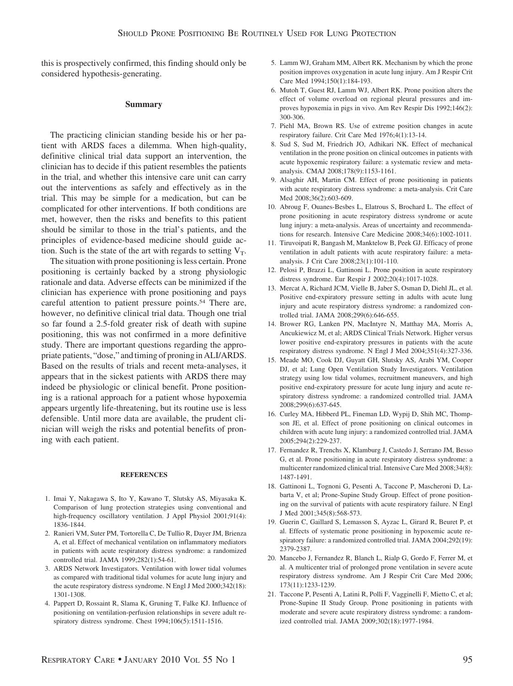this is prospectively confirmed, this finding should only be considered hypothesis-generating.

### **Summary**

The practicing clinician standing beside his or her patient with ARDS faces a dilemma. When high-quality, definitive clinical trial data support an intervention, the clinician has to decide if this patient resembles the patients in the trial, and whether this intensive care unit can carry out the interventions as safely and effectively as in the trial. This may be simple for a medication, but can be complicated for other interventions. If both conditions are met, however, then the risks and benefits to this patient should be similar to those in the trial's patients, and the principles of evidence-based medicine should guide action. Such is the state of the art with regards to setting  $V_T$ .

The situation with prone positioning is less certain. Prone positioning is certainly backed by a strong physiologic rationale and data. Adverse effects can be minimized if the clinician has experience with prone positioning and pays careful attention to patient pressure points.54 There are, however, no definitive clinical trial data. Though one trial so far found a 2.5-fold greater risk of death with supine positioning, this was not confirmed in a more definitive study. There are important questions regarding the appropriate patients, "dose," and timing of proning in ALI/ARDS. Based on the results of trials and recent meta-analyses, it appears that in the sickest patients with ARDS there may indeed be physiologic or clinical benefit. Prone positioning is a rational approach for a patient whose hypoxemia appears urgently life-threatening, but its routine use is less defensible. Until more data are available, the prudent clinician will weigh the risks and potential benefits of proning with each patient.

#### **REFERENCES**

- 1. Imai Y, Nakagawa S, Ito Y, Kawano T, Slutsky AS, Miyasaka K. Comparison of lung protection strategies using conventional and high-frequency oscillatory ventilation. J Appl Physiol 2001;91(4): 1836-1844.
- 2. Ranieri VM, Suter PM, Tortorella C, De Tullio R, Dayer JM, Brienza A, et al. Effect of mechanical ventilation on inflammatory mediators in patients with acute respiratory distress syndrome: a randomized controlled trial. JAMA 1999;282(1):54-61.
- 3. ARDS Network Investigators. Ventilation with lower tidal volumes as compared with traditional tidal volumes for acute lung injury and the acute respiratory distress syndrome. N Engl J Med 2000;342(18): 1301-1308.
- 4. Pappert D, Rossaint R, Slama K, Gruning T, Falke KJ. Influence of positioning on ventilation-perfusion relationships in severe adult respiratory distress syndrome. Chest 1994;106(5):1511-1516.
- 5. Lamm WJ, Graham MM, Albert RK. Mechanism by which the prone position improves oxygenation in acute lung injury. Am J Respir Crit Care Med 1994;150(1):184-193.
- 6. Mutoh T, Guest RJ, Lamm WJ, Albert RK. Prone position alters the effect of volume overload on regional pleural pressures and improves hypoxemia in pigs in vivo. Am Rev Respir Dis 1992;146(2): 300-306.
- 7. Piehl MA, Brown RS. Use of extreme position changes in acute respiratory failure. Crit Care Med 1976;4(1):13-14.
- 8. Sud S, Sud M, Friedrich JO, Adhikari NK. Effect of mechanical ventilation in the prone position on clinical outcomes in patients with acute hypoxemic respiratory failure: a systematic review and metaanalysis. CMAJ 2008;178(9):1153-1161.
- 9. Alsaghir AH, Martin CM. Effect of prone positioning in patients with acute respiratory distress syndrome: a meta-analysis. Crit Care Med 2008;36(2):603-609.
- 10. Abroug F, Ouanes-Besbes L, Elatrous S, Brochard L. The effect of prone positioning in acute respiratory distress syndrome or acute lung injury: a meta-analysis. Areas of uncertainty and recommendations for research. Intensive Care Medicine 2008;34(6):1002-1011.
- 11. Tiruvoipati R, Bangash M, Manktelow B, Peek GJ. Efficacy of prone ventilation in adult patients with acute respiratory failure: a metaanalysis. J Crit Care 2008;23(1):101-110.
- 12. Pelosi P, Brazzi L, Gattinoni L. Prone position in acute respiratory distress syndrome. Eur Respir J 2002;20(4):1017-1028.
- 13. Mercat A, Richard JCM, Vielle B, Jaber S, Osman D, Diehl JL, et al. Positive end-expiratory pressure setting in adults with acute lung injury and acute respiratory distress syndrome: a randomized controlled trial. JAMA 2008;299(6):646-655.
- 14. Brower RG, Lanken PN, MacIntyre N, Matthay MA, Morris A, Ancukiewicz M, et al; ARDS Clinical Trials Network. Higher versus lower positive end-expiratory pressures in patients with the acute respiratory distress syndrome. N Engl J Med 2004;351(4):327-336.
- 15. Meade MO, Cook DJ, Guyatt GH, Slutsky AS, Arabi YM, Cooper DJ, et al; Lung Open Ventilation Study Investigators. Ventilation strategy using low tidal volumes, recruitment maneuvers, and high positive end-expiratory pressure for acute lung injury and acute respiratory distress syndrome: a randomized controlled trial. JAMA 2008;299(6):637-645.
- 16. Curley MA, Hibberd PL, Fineman LD, Wypij D, Shih MC, Thompson JE, et al. Effect of prone positioning on clinical outcomes in children with acute lung injury: a randomized controlled trial. JAMA 2005;294(2):229-237.
- 17. Fernandez R, Trenchs X, Klamburg J, Castedo J, Serrano JM, Besso G, et al. Prone positioning in acute respiratory distress syndrome: a multicenter randomized clinical trial. Intensive Care Med 2008;34(8): 1487-1491.
- 18. Gattinoni L, Tognoni G, Pesenti A, Taccone P, Mascheroni D, Labarta V, et al; Prone-Supine Study Group. Effect of prone positioning on the survival of patients with acute respiratory failure. N Engl J Med 2001;345(8):568-573.
- 19. Guerin C, Gaillard S, Lemasson S, Ayzac L, Girard R, Beuret P, et al. Effects of systematic prone positioning in hypoxemic acute respiratory failure: a randomized controlled trial. JAMA 2004;292(19): 2379-2387.
- 20. Mancebo J, Fernandez R, Blanch L, Rialp G, Gordo F, Ferrer M, et al. A multicenter trial of prolonged prone ventilation in severe acute respiratory distress syndrome. Am J Respir Crit Care Med 2006; 173(11):1233-1239.
- 21. Taccone P, Pesenti A, Latini R, Polli F, Vagginelli F, Mietto C, et al; Prone-Supine II Study Group. Prone positioning in patients with moderate and severe acute respiratory distress syndrome: a randomized controlled trial. JAMA 2009;302(18):1977-1984.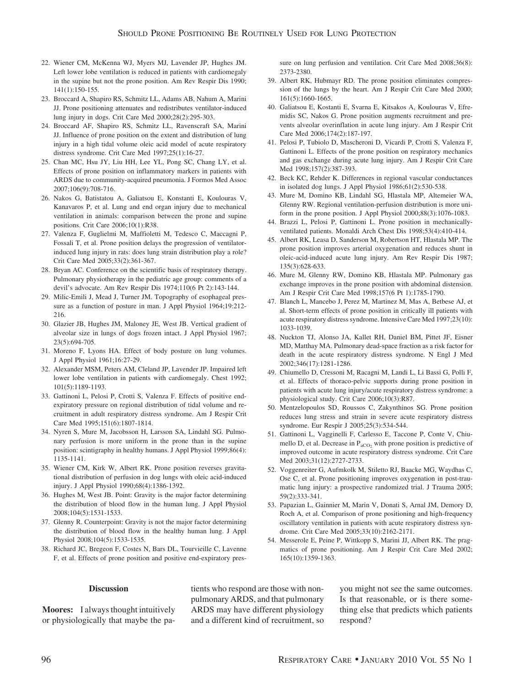- 22. Wiener CM, McKenna WJ, Myers MJ, Lavender JP, Hughes JM. Left lower lobe ventilation is reduced in patients with cardiomegaly in the supine but not the prone position. Am Rev Respir Dis 1990; 141(1):150-155.
- 23. Broccard A, Shapiro RS, Schmitz LL, Adams AB, Nahum A, Marini JJ. Prone positioning attenuates and redistributes ventilator-induced lung injury in dogs. Crit Care Med 2000;28(2):295-303.
- 24. Broccard AF, Shapiro RS, Schmitz LL, Ravenscraft SA, Marini JJ. Influence of prone position on the extent and distribution of lung injury in a high tidal volume oleic acid model of acute respiratory distress syndrome. Crit Care Med 1997;25(1):16-27.
- 25. Chan MC, Hsu JY, Liu HH, Lee YL, Pong SC, Chang LY, et al. Effects of prone position on inflammatory markers in patients with ARDS due to community-acquired pneumonia. J Formos Med Assoc 2007;106(9):708-716.
- 26. Nakos G, Batistatou A, Galiatsou E, Konstanti E, Koulouras V, Kanavaros P, et al. Lung and end organ injury due to mechanical ventilation in animals: comparison between the prone and supine positions. Crit Care 2006;10(1):R38.
- 27. Valenza F, Guglielmi M, Maffioletti M, Tedesco C, Maccagni P, Fossali T, et al. Prone position delays the progression of ventilatorinduced lung injury in rats: does lung strain distribution play a role? Crit Care Med 2005;33(2):361-367.
- 28. Bryan AC. Conference on the scientific basis of respiratory therapy. Pulmonary physiotherapy in the pediatric age group: comments of a devil's advocate. Am Rev Respir Dis 1974;110(6 Pt 2):143-144.
- 29. Milic-Emili J, Mead J, Turner JM. Topography of esophageal pressure as a function of posture in man. J Appl Physiol 1964;19:212- 216.
- 30. Glazier JB, Hughes JM, Maloney JE, West JB. Vertical gradient of alveolar size in lungs of dogs frozen intact. J Appl Physiol 1967; 23(5):694-705.
- 31. Moreno F, Lyons HA. Effect of body posture on lung volumes. J Appl Physiol 1961;16:27-29.
- 32. Alexander MSM, Peters AM, Cleland JP, Lavender JP. Impaired left lower lobe ventilation in patients with cardiomegaly. Chest 1992; 101(5):1189-1193.
- 33. Gattinoni L, Pelosi P, Crotti S, Valenza F. Effects of positive endexpiratory pressure on regional distribution of tidal volume and recruitment in adult respiratory distress syndrome. Am J Respir Crit Care Med 1995;151(6):1807-1814.
- 34. Nyren S, Mure M, Jacobsson H, Larsson SA, Lindahl SG. Pulmonary perfusion is more uniform in the prone than in the supine position: scintigraphy in healthy humans. J Appl Physiol 1999;86(4): 1135-1141.
- 35. Wiener CM, Kirk W, Albert RK. Prone position reverses gravitational distribution of perfusion in dog lungs with oleic acid-induced injury. J Appl Physiol 1990;68(4):1386-1392.
- 36. Hughes M, West JB. Point: Gravity is the major factor determining the distribution of blood flow in the human lung. J Appl Physiol 2008;104(5):1531-1533.
- 37. Glenny R. Counterpoint: Gravity is not the major factor determining the distribution of blood flow in the healthy human lung. J Appl Physiol 2008;104(5):1533-1535.
- 38. Richard JC, Bregeon F, Costes N, Bars DL, Tourvieille C, Lavenne F, et al. Effects of prone position and positive end-expiratory pres-

sure on lung perfusion and ventilation. Crit Care Med 2008;36(8): 2373-2380.

- 39. Albert RK, Hubmayr RD. The prone position eliminates compression of the lungs by the heart. Am J Respir Crit Care Med 2000; 161(5):1660-1665.
- 40. Galiatsou E, Kostanti E, Svarna E, Kitsakos A, Koulouras V, Efremidis SC, Nakos G. Prone position augments recruitment and prevents alveolar overinflation in acute lung injury. Am J Respir Crit Care Med 2006;174(2):187-197.
- 41. Pelosi P, Tubiolo D, Mascheroni D, Vicardi P, Crotti S, Valenza F, Gattinoni L. Effects of the prone position on respiratory mechanics and gas exchange during acute lung injury. Am J Respir Crit Care Med 1998;157(2):387-393.
- 42. Beck KC, Rehder K. Differences in regional vascular conductances in isolated dog lungs. J Appl Physiol 1986;61(2):530-538.
- 43. Mure M, Domino KB, Lindahl SG, Hlastala MP, Altemeier WA, Glenny RW. Regional ventilation-perfusion distribution is more uniform in the prone position. J Appl Physiol 2000;88(3):1076-1083.
- 44. Brazzi L, Pelosi P, Gattinoni L. Prone position in mechanicallyventilated patients. Monaldi Arch Chest Dis 1998;53(4):410-414.
- 45. Albert RK, Leasa D, Sanderson M, Robertson HT, Hlastala MP. The prone position improves arterial oxygenation and reduces shunt in oleic-acid-induced acute lung injury. Am Rev Respir Dis 1987; 135(3):628-633.
- 46. Mure M, Glenny RW, Domino KB, Hlastala MP. Pulmonary gas exchange improves in the prone position with abdominal distension. Am J Respir Crit Care Med 1998;157(6 Pt 1):1785-1790.
- 47. Blanch L, Mancebo J, Perez M, Martinez M, Mas A, Betbese AJ, et al. Short-term effects of prone position in critically ill patients with acute respiratory distress syndrome. Intensive Care Med 1997;23(10): 1033-1039.
- 48. Nuckton TJ, Alonso JA, Kallet RH, Daniel BM, Pittet JF, Eisner MD, Matthay MA. Pulmonary dead-space fraction as a risk factor for death in the acute respiratory distress syndrome. N Engl J Med 2002;346(17):1281-1286.
- 49. Chiumello D, Cressoni M, Racagni M, Landi L, Li Bassi G, Polli F, et al. Effects of thoraco-pelvic supports during prone position in patients with acute lung injury/acute respiratory distress syndrome: a physiological study. Crit Care 2006;10(3):R87.
- 50. Mentzelopoulos SD, Roussos C, Zakynthinos SG. Prone position reduces lung stress and strain in severe acute respiratory distress syndrome. Eur Respir J 2005;25(3):534-544.
- 51. Gattinoni L, Vagginelli F, Carlesso E, Taccone P, Conte V, Chiumello D, et al. Decrease in  $P_{aCO_2}$  with prone position is predictive of improved outcome in acute respiratory distress syndrome. Crit Care Med 2003;31(12):2727-2733.
- 52. Voggenreiter G, Aufmkolk M, Stiletto RJ, Baacke MG, Waydhas C, Ose C, et al. Prone positioning improves oxygenation in post-traumatic lung injury: a prospective randomized trial. J Trauma 2005; 59(2):333-341.
- 53. Papazian L, Gainnier M, Marin V, Donati S, Arnal JM, Demory D, Roch A, et al. Comparison of prone positioning and high-frequency oscillatory ventilation in patients with acute respiratory distress syndrome. Crit Care Med 2005;33(10):2162-2171.
- 54. Messerole E, Peine P, Wittkopp S, Marini JJ, Albert RK. The pragmatics of prone positioning. Am J Respir Crit Care Med 2002; 165(10):1359-1363.

#### **Discussion**

**Moores:** I always thought intuitively or physiologically that maybe the patients who respond are those with nonpulmonary ARDS, and that pulmonary ARDS may have different physiology and a different kind of recruitment, so you might not see the same outcomes. Is that reasonable, or is there something else that predicts which patients respond?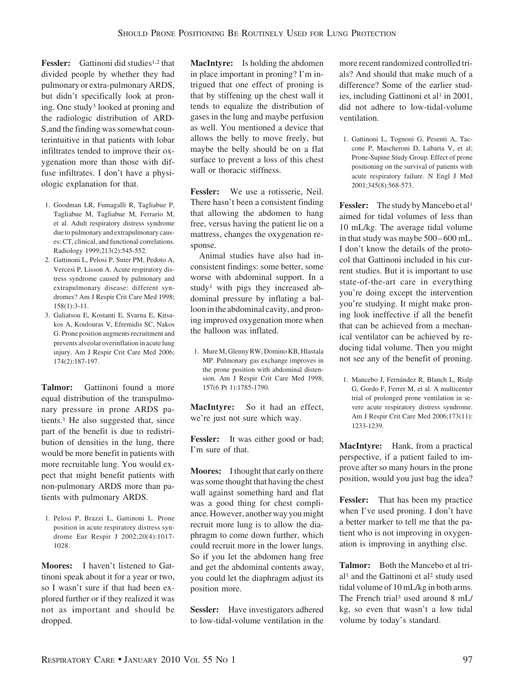**Fessler:** Gattinoni did studies<sup>1,2</sup> that divided people by whether they had pulmonary or extra-pulmonary ARDS, but didn't specifically look at proning. One study3 looked at proning and the radiologic distribution of ARD-S,and the finding was somewhat counterintuitive in that patients with lobar infiltrates tended to improve their oxygenation more than those with diffuse infiltrates. I don't have a physiologic explanation for that.

- 1. Goodman LR, Fumagalli R, Tagliabue P, Tagliabue M, Tagliabue M, Ferrario M, et al. Adult respiratory distress syndrome due to pulmonary and extrapulmonary causes: CT, clinical, and functional correlations. Radiology 1999;213(2):545-552.
- 2. Gattinoni L, Pelosi P, Suter PM, Pedoto A, Vercesi P, Lisson A. Acute respiratory distress syndrome caused by pulmonary and extrapulmonary disease: different syndromes? Am J Respir Crit Care Med 1998; 158(1):3-11.
- 3. Galiatsou E, Kostanti E, Svarna E, Kitsakos A, Koulouras V, Efremidis SC, Nakos G. Prone position augments recruitment and prevents alveolar overinflation in acute lung injury. Am J Respir Crit Care Med 2006; 174(2):187-197.

**Talmor:** Gattinoni found a more equal distribution of the transpulmonary pressure in prone ARDS patients.1 He also suggested that, since part of the benefit is due to redistribution of densities in the lung, there would be more benefit in patients with more recruitable lung. You would expect that might benefit patients with non-pulmonary ARDS more than patients with pulmonary ARDS.

1. Pelosi P, Brazzi L, Gattinoni L. Prone position in acute respiratory distress syndrome Eur Respir J 2002;20(4):1017- 1028.

**Moores:** I haven't listened to Gattinoni speak about it for a year or two, so I wasn't sure if that had been explored further or if they realized it was not as important and should be dropped.

**MacIntyre:** Is holding the abdomen in place important in proning? I'm intrigued that one effect of proning is that by stiffening up the chest wall it tends to equalize the distribution of gases in the lung and maybe perfusion as well. You mentioned a device that allows the belly to move freely, but maybe the belly should be on a flat surface to prevent a loss of this chest wall or thoracic stiffness.

**Fessler:** We use a rotisserie, Neil. There hasn't been a consistent finding that allowing the abdomen to hang free, versus having the patient lie on a mattress, changes the oxygenation response.

Animal studies have also had inconsistent findings: some better, some worse with abdominal support. In a study<sup>1</sup> with pigs they increased abdominal pressure by inflating a balloon in the abdominal cavity, and proning improved oxygenation more when the balloon was inflated.

1. Mure M, Glenny RW, Domino KB, Hlastala MP. Pulmonary gas exchange improves in the prone position with abdominal distension. Am J Respir Crit Care Med 1998; 157(6 Pt 1):1785-1790.

**MacIntyre:** So it had an effect, we're just not sure which way.

Fessler: It was either good or bad; I'm sure of that.

**Moores:** I thought that early on there was some thought that having the chest wall against something hard and flat was a good thing for chest compliance. However, another way you might recruit more lung is to allow the diaphragm to come down further, which could recruit more in the lower lungs. So if you let the abdomen hang free and get the abdominal contents away, you could let the diaphragm adjust its position more.

**Sessler:** Have investigators adhered to low-tidal-volume ventilation in the more recent randomized controlled trials? And should that make much of a difference? Some of the earlier studies, including Gattinoni et al<sup>1</sup> in 2001, did not adhere to low-tidal-volume ventilation.

1. Gattinoni L, Tognoni G, Pesenti A, Taccone P, Mascheroni D, Labarta V, et al; Prone-Supine Study Group. Effect of prone positioning on the survival of patients with acute respiratory failure. N Engl J Med 2001;345(8):568-573.

**Fessler:** The study by Mancebo et al<sup>1</sup> aimed for tidal volumes of less than 10 mL/kg. The average tidal volume in that study was maybe 500 – 600 mL. I don't know the details of the protocol that Gattinoni included in his current studies. But it is important to use state-of-the-art care in everything you're doing except the intervention you're studying. It might make proning look ineffective if all the benefit that can be achieved from a mechanical ventilator can be achieved by reducing tidal volume. Then you might not see any of the benefit of proning.

1. Mancebo J, Fernández R, Blanch L, Rialp G, Gordo F, Ferrer M, et al. A multicenter trial of prolonged prone ventilation in severe acute respiratory distress syndrome. Am J Respir Crit Care Med 2006;173(11): 1233-1239.

**MacIntyre:** Hank, from a practical perspective, if a patient failed to improve after so many hours in the prone position, would you just bag the idea?

**Fessler:** That has been my practice when I've used proning. I don't have a better marker to tell me that the patient who is not improving in oxygenation is improving in anything else.

**Talmor:** Both the Mancebo et al trial<sup>1</sup> and the Gattinoni et al<sup>2</sup> study used tidal volume of 10 mL/kg in both arms. The French trial<sup>3</sup> used around 8 mL/ kg, so even that wasn't a low tidal volume by today's standard.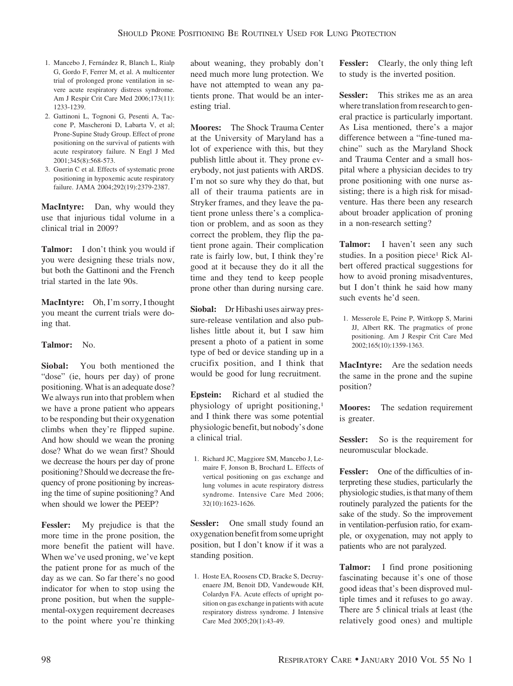- 1. Mancebo J, Fernández R, Blanch L, Rialp G, Gordo F, Ferrer M, et al. A multicenter trial of prolonged prone ventilation in severe acute respiratory distress syndrome. Am J Respir Crit Care Med 2006;173(11): 1233-1239.
- 2. Gattinoni L, Tognoni G, Pesenti A, Taccone P, Mascheroni D, Labarta V, et al; Prone-Supine Study Group. Effect of prone positioning on the survival of patients with acute respiratory failure. N Engl J Med 2001;345(8):568-573.
- 3. Guerin C et al. Effects of systematic prone positioning in hypoxemic acute respiratory failure. JAMA 2004;292(19):2379-2387.

**MacIntyre:** Dan, why would they use that injurious tidal volume in a clinical trial in 2009?

**Talmor:** I don't think you would if you were designing these trials now, but both the Gattinoni and the French trial started in the late 90s.

**MacIntyre:** Oh, I'm sorry, I thought you meant the current trials were doing that.

## **Talmor:** No.

**Siobal:** You both mentioned the "dose" (ie, hours per day) of prone positioning. What is an adequate dose? We always run into that problem when we have a prone patient who appears to be responding but their oxygenation climbs when they're flipped supine. And how should we wean the proning dose? What do we wean first? Should we decrease the hours per day of prone positioning? Should we decrease the frequency of prone positioning by increasing the time of supine positioning? And when should we lower the PEEP?

**Fessler:** My prejudice is that the more time in the prone position, the more benefit the patient will have. When we've used proning, we've kept the patient prone for as much of the day as we can. So far there's no good indicator for when to stop using the prone position, but when the supplemental-oxygen requirement decreases to the point where you're thinking

about weaning, they probably don't need much more lung protection. We have not attempted to wean any patients prone. That would be an interesting trial.

**Moores:** The Shock Trauma Center at the University of Maryland has a lot of experience with this, but they publish little about it. They prone everybody, not just patients with ARDS. I'm not so sure why they do that, but all of their trauma patients are in Stryker frames, and they leave the patient prone unless there's a complication or problem, and as soon as they correct the problem, they flip the patient prone again. Their complication rate is fairly low, but, I think they're good at it because they do it all the time and they tend to keep people prone other than during nursing care.

**Siobal:** Dr Hibashi uses airway pressure-release ventilation and also publishes little about it, but I saw him present a photo of a patient in some type of bed or device standing up in a crucifix position, and I think that would be good for lung recruitment.

**Epstein:** Richard et al studied the physiology of upright positioning,1 and I think there was some potential physiologic benefit, but nobody's done a clinical trial.

1. Richard JC, Maggiore SM, Mancebo J, Lemaire F, Jonson B, Brochard L. Effects of vertical positioning on gas exchange and lung volumes in acute respiratory distress syndrome. Intensive Care Med 2006; 32(10):1623-1626.

**Sessler:** One small study found an oxygenation benefit from some upright position, but I don't know if it was a standing position.

1. Hoste EA, Roosens CD, Bracke S, Decruyenaere JM, Benoit DD, Vandewoude KH, Colardyn FA. Acute effects of upright position on gas exchange in patients with acute respiratory distress syndrome. J Intensive Care Med 2005;20(1):43-49.

**Fessler:** Clearly, the only thing left to study is the inverted position.

**Sessler:** This strikes me as an area where translation from research to general practice is particularly important. As Lisa mentioned, there's a major difference between a "fine-tuned machine" such as the Maryland Shock and Trauma Center and a small hospital where a physician decides to try prone positioning with one nurse assisting; there is a high risk for misadventure. Has there been any research about broader application of proning in a non-research setting?

**Talmor:** I haven't seen any such studies. In a position piece<sup>1</sup> Rick Albert offered practical suggestions for how to avoid proning misadventures, but I don't think he said how many such events he'd seen.

1. Messerole E, Peine P, Wittkopp S, Marini JJ, Albert RK. The pragmatics of prone positioning. Am J Respir Crit Care Med 2002;165(10):1359-1363.

**MacIntyre:** Are the sedation needs the same in the prone and the supine position?

**Moores:** The sedation requirement is greater.

Sessler: So is the requirement for neuromuscular blockade.

**Fessler:** One of the difficulties of interpreting these studies, particularly the physiologic studies, is that many of them routinely paralyzed the patients for the sake of the study. So the improvement in ventilation-perfusion ratio, for example, or oxygenation, may not apply to patients who are not paralyzed.

**Talmor:** I find prone positioning fascinating because it's one of those good ideas that's been disproved multiple times and it refuses to go away. There are 5 clinical trials at least (the relatively good ones) and multiple